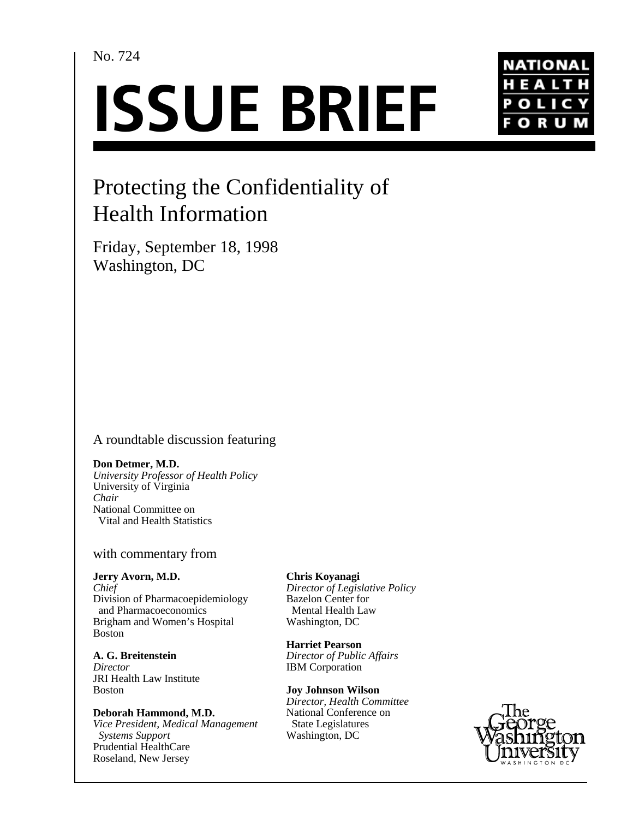## No. 724

# **ISSUE BRIEF**



# Protecting the Confidentiality of Health Information

Friday, September 18, 1998 Washington, DC

## A roundtable discussion featuring

#### **Don Detmer, M.D.**

*University Professor of Health Policy* University of Virginia *Chair* National Committee on Vital and Health Statistics

#### with commentary from

**Jerry Avorn, M.D.** *Chief* Division of Pharmacoepidemiology and Pharmacoeconomics Brigham and Women's Hospital Boston

**A. G. Breitenstein** *Director* JRI Health Law Institute Boston

**Deborah Hammond, M.D.** *Vice President, Medical Management Systems Support* Prudential HealthCare Roseland, New Jersey

**Chris Koyanagi** *Director of Legislative Policy* Bazelon Center for Mental Health Law Washington, DC

**Harriet Pearson** *Director of Public Affairs* IBM Corporation

**Joy Johnson Wilson** *Director, Health Committee*

National Conference on State Legislatures Washington, DC

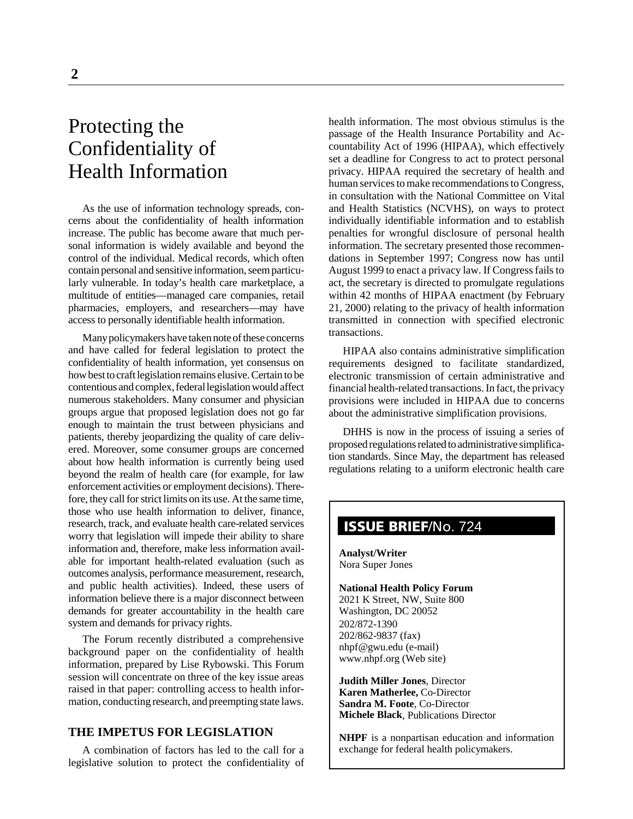# Protecting the Confidentiality of Health Information

As the use of information technology spreads, concerns about the confidentiality of health information increase. The public has become aware that much personal information is widely available and beyond the control of the individual. Medical records, which often contain personal and sensitive information, seem particularly vulnerable. In today's health care marketplace, a multitude of entities—managed care companies, retail pharmacies, employers, and researchers—may have access to personally identifiable health information.

Many policymakers have taken note of these concerns and have called for federal legislation to protect the confidentiality of health information, yet consensus on how best to craft legislation remains elusive. Certain to be contentious and complex, federal legislation would affect numerous stakeholders. Many consumer and physician groups argue that proposed legislation does not go far enough to maintain the trust between physicians and patients, thereby jeopardizing the quality of care delivered. Moreover, some consumer groups are concerned about how health information is currently being used beyond the realm of health care (for example, for law enforcement activities or employment decisions). Therefore, they call for strict limits on its use. At the same time, those who use health information to deliver, finance, research, track, and evaluate health care-related services worry that legislation will impede their ability to share information and, therefore, make less information available for important health-related evaluation (such as outcomes analysis, performance measurement, research, and public health activities). Indeed, these users of information believe there is a major disconnect between demands for greater accountability in the health care system and demands for privacy rights.

The Forum recently distributed a comprehensive background paper on the confidentiality of health information, prepared by Lise Rybowski. This Forum session will concentrate on three of the key issue areas raised in that paper: controlling access to health information, conducting research, and preempting state laws.

#### **THE IMPETUS FOR LEGISLATION**

A combination of factors has led to the call for a legislative solution to protect the confidentiality of health information. The most obvious stimulus is the passage of the Health Insurance Portability and Accountability Act of 1996 (HIPAA), which effectively set a deadline for Congress to act to protect personal privacy. HIPAA required the secretary of health and human services to make recommendations to Congress, in consultation with the National Committee on Vital and Health Statistics (NCVHS), on ways to protect individually identifiable information and to establish penalties for wrongful disclosure of personal health information. The secretary presented those recommendations in September 1997; Congress now has until August 1999 to enact a privacy law. If Congress fails to act, the secretary is directed to promulgate regulations within 42 months of HIPAA enactment (by February 21, 2000) relating to the privacy of health information transmitted in connection with specified electronic transactions.

HIPAA also contains administrative simplification requirements designed to facilitate standardized, electronic transmission of certain administrative and financial health-related transactions. In fact, the privacy provisions were included in HIPAA due to concerns about the administrative simplification provisions.

DHHS is now in the process of issuing a series of proposed regulations related to administrative simplification standards. Since May, the department has released regulations relating to a uniform electronic health care

## **ISSUE BRIEF**/No. 724

**Analyst/Writer** Nora Super Jones

#### **National Health Policy Forum**

2021 K Street, NW, Suite 800 Washington, DC 20052 202/872-1390 202/862-9837 (fax) nhpf@gwu.edu (e-mail) www.nhpf.org (Web site)

**Judith Miller Jones**, Director **Karen Matherlee,** Co-Director **Sandra M. Foote**, Co-Director **Michele Black**, Publications Director

**NHPF** is a nonpartisan education and information exchange for federal health policymakers.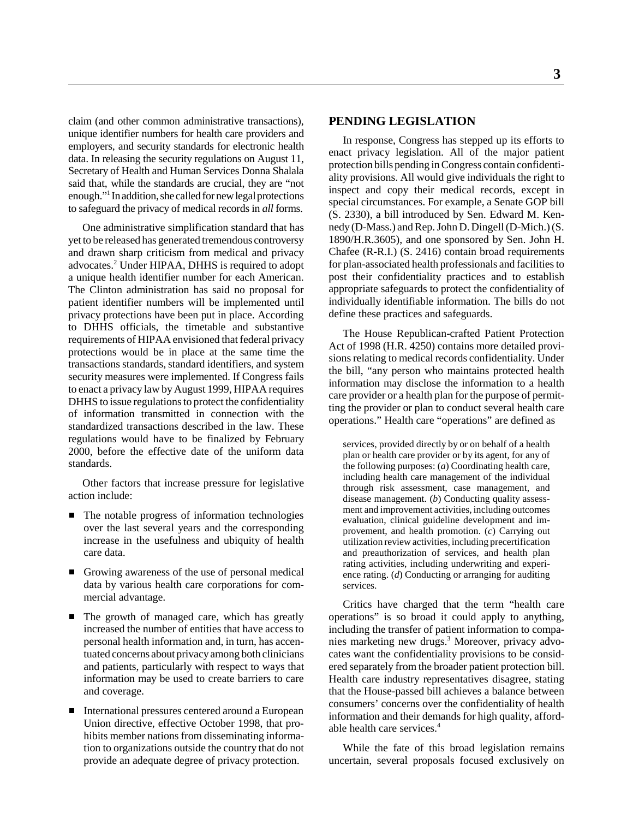claim (and other common administrative transactions), unique identifier numbers for health care providers and employers, and security standards for electronic health data. In releasing the security regulations on August 11, Secretary of Health and Human Services Donna Shalala said that, while the standards are crucial, they are "not enough."1 In addition, she called for new legal protections to safeguard the privacy of medical records in *all* forms.

One administrative simplification standard that has yet to be released has generated tremendous controversy and drawn sharp criticism from medical and privacy advocates.<sup>2</sup> Under HIPAA, DHHS is required to adopt a unique health identifier number for each American. The Clinton administration has said no proposal for patient identifier numbers will be implemented until privacy protections have been put in place. According to DHHS officials, the timetable and substantive requirements of HIPAA envisioned that federal privacy protections would be in place at the same time the transactions standards, standard identifiers, and system security measures were implemented. If Congress fails to enact a privacy law by August 1999, HIPAA requires DHHS to issue regulations to protect the confidentiality of information transmitted in connection with the standardized transactions described in the law. These regulations would have to be finalized by February 2000, before the effective date of the uniform data standards.

Other factors that increase pressure for legislative action include:

- The notable progress of information technologies over the last several years and the corresponding increase in the usefulness and ubiquity of health care data.
- Growing awareness of the use of personal medical data by various health care corporations for commercial advantage.
- The growth of managed care, which has greatly increased the number of entities that have access to personal health information and, in turn, has accentuated concerns about privacy among both clinicians and patients, particularly with respect to ways that information may be used to create barriers to care and coverage.
- International pressures centered around a European Union directive, effective October 1998, that prohibits member nations from disseminating information to organizations outside the country that do not provide an adequate degree of privacy protection.

#### **PENDING LEGISLATION**

In response, Congress has stepped up its efforts to enact privacy legislation. All of the major patient protection bills pending in Congress contain confidentiality provisions. All would give individuals the right to inspect and copy their medical records, except in special circumstances. For example, a Senate GOP bill (S. 2330), a bill introduced by Sen. Edward M. Kennedy (D-Mass.) and Rep. John D. Dingell (D-Mich.) (S. 1890/H.R.3605), and one sponsored by Sen. John H. Chafee (R-R.I.) (S. 2416) contain broad requirements for plan-associated health professionals and facilities to post their confidentiality practices and to establish appropriate safeguards to protect the confidentiality of individually identifiable information. The bills do not define these practices and safeguards.

The House Republican-crafted Patient Protection Act of 1998 (H.R. 4250) contains more detailed provisions relating to medical records confidentiality. Under the bill, "any person who maintains protected health information may disclose the information to a health care provider or a health plan for the purpose of permitting the provider or plan to conduct several health care operations." Health care "operations" are defined as

services, provided directly by or on behalf of a health plan or health care provider or by its agent, for any of the following purposes: (*a*) Coordinating health care, including health care management of the individual through risk assessment, case management, and disease management. (*b*) Conducting quality assessment and improvement activities, including outcomes evaluation, clinical guideline development and improvement, and health promotion. (*c*) Carrying out utilization review activities, including precertification and preauthorization of services, and health plan rating activities, including underwriting and experience rating. (*d*) Conducting or arranging for auditing services.

Critics have charged that the term "health care operations" is so broad it could apply to anything, including the transfer of patient information to companies marketing new drugs.3 Moreover, privacy advocates want the confidentiality provisions to be considered separately from the broader patient protection bill. Health care industry representatives disagree, stating that the House-passed bill achieves a balance between consumers' concerns over the confidentiality of health information and their demands for high quality, affordable health care services.4

While the fate of this broad legislation remains uncertain, several proposals focused exclusively on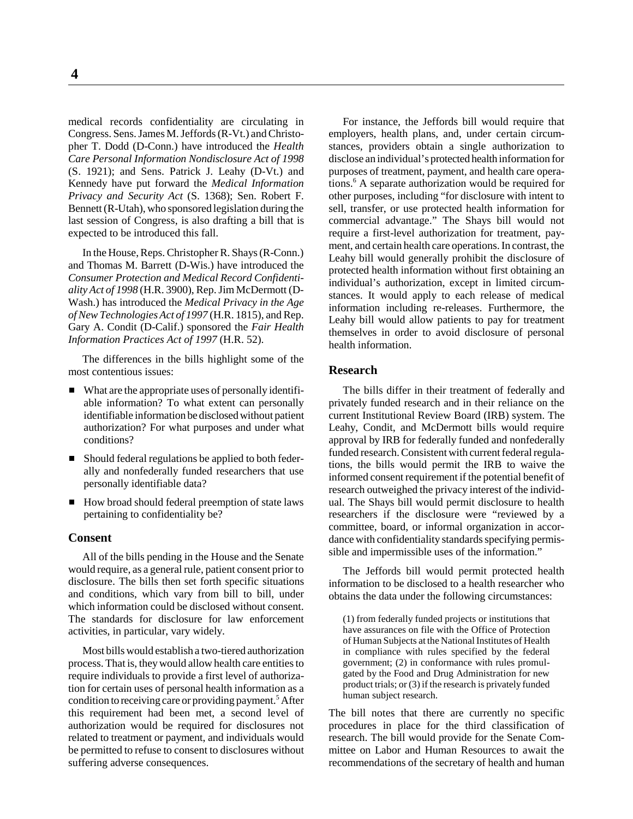medical records confidentiality are circulating in Congress. Sens. James M. Jeffords (R-Vt.) and Christopher T. Dodd (D-Conn.) have introduced the *Health Care Personal Information Nondisclosure Act of 1998* (S. 1921); and Sens. Patrick J. Leahy (D-Vt.) and Kennedy have put forward the *Medical Information Privacy and Security Act* (S. 1368); Sen. Robert F. Bennett (R-Utah), who sponsored legislation during the last session of Congress, is also drafting a bill that is expected to be introduced this fall.

In the House, Reps. Christopher R. Shays (R-Conn.) and Thomas M. Barrett (D-Wis.) have introduced the *Consumer Protection and Medical Record Confidentiality Act of 1998* (H.R. 3900), Rep. Jim McDermott (D-Wash.) has introduced the *Medical Privacy in the Age of New Technologies Act of 1997* (H.R. 1815), and Rep. Gary A. Condit (D-Calif.) sponsored the *Fair Health Information Practices Act of 1997* (H.R. 52).

The differences in the bills highlight some of the most contentious issues:

- What are the appropriate uses of personally identifiable information? To what extent can personally identifiable information be disclosed without patient authorization? For what purposes and under what conditions?
- $\blacksquare$  Should federal regulations be applied to both federally and nonfederally funded researchers that use personally identifiable data?
- How broad should federal preemption of state laws pertaining to confidentiality be?

#### **Consent**

All of the bills pending in the House and the Senate would require, as a general rule, patient consent prior to disclosure. The bills then set forth specific situations and conditions, which vary from bill to bill, under which information could be disclosed without consent. The standards for disclosure for law enforcement activities, in particular, vary widely.

Most bills would establish a two-tiered authorization process. That is, they would allow health care entities to require individuals to provide a first level of authorization for certain uses of personal health information as a condition to receiving care or providing payment.<sup>5</sup> After this requirement had been met, a second level of authorization would be required for disclosures not related to treatment or payment, and individuals would be permitted to refuse to consent to disclosures without suffering adverse consequences.

For instance, the Jeffords bill would require that employers, health plans, and, under certain circumstances, providers obtain a single authorization to disclose an individual's protected health information for purposes of treatment, payment, and health care operations.6 A separate authorization would be required for other purposes, including "for disclosure with intent to sell, transfer, or use protected health information for commercial advantage." The Shays bill would not require a first-level authorization for treatment, payment, and certain health care operations. In contrast, the Leahy bill would generally prohibit the disclosure of protected health information without first obtaining an individual's authorization, except in limited circumstances. It would apply to each release of medical information including re-releases. Furthermore, the Leahy bill would allow patients to pay for treatment themselves in order to avoid disclosure of personal health information.

#### **Research**

The bills differ in their treatment of federally and privately funded research and in their reliance on the current Institutional Review Board (IRB) system. The Leahy, Condit, and McDermott bills would require approval by IRB for federally funded and nonfederally funded research. Consistent with current federal regulations, the bills would permit the IRB to waive the informed consent requirement if the potential benefit of research outweighed the privacy interest of the individual. The Shays bill would permit disclosure to health researchers if the disclosure were "reviewed by a committee, board, or informal organization in accordance with confidentiality standards specifying permissible and impermissible uses of the information."

The Jeffords bill would permit protected health information to be disclosed to a health researcher who obtains the data under the following circumstances:

(1) from federally funded projects or institutions that have assurances on file with the Office of Protection of Human Subjects at the National Institutes of Health in compliance with rules specified by the federal government; (2) in conformance with rules promulgated by the Food and Drug Administration for new product trials; or (3) if the research is privately funded human subject research.

The bill notes that there are currently no specific procedures in place for the third classification of research. The bill would provide for the Senate Committee on Labor and Human Resources to await the recommendations of the secretary of health and human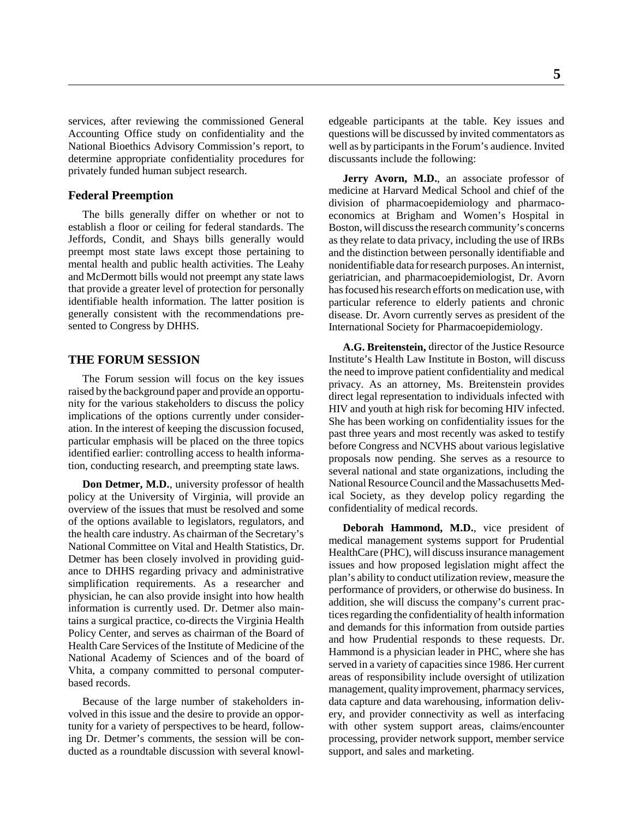services, after reviewing the commissioned General Accounting Office study on confidentiality and the National Bioethics Advisory Commission's report, to determine appropriate confidentiality procedures for privately funded human subject research.

#### **Federal Preemption**

The bills generally differ on whether or not to establish a floor or ceiling for federal standards. The Jeffords, Condit, and Shays bills generally would preempt most state laws except those pertaining to mental health and public health activities. The Leahy and McDermott bills would not preempt any state laws that provide a greater level of protection for personally identifiable health information. The latter position is generally consistent with the recommendations presented to Congress by DHHS.

#### **THE FORUM SESSION**

The Forum session will focus on the key issues raised by the background paper and provide an opportunity for the various stakeholders to discuss the policy implications of the options currently under consideration. In the interest of keeping the discussion focused, particular emphasis will be placed on the three topics identified earlier: controlling access to health information, conducting research, and preempting state laws.

**Don Detmer, M.D.**, university professor of health policy at the University of Virginia, will provide an overview of the issues that must be resolved and some of the options available to legislators, regulators, and the health care industry. As chairman of the Secretary's National Committee on Vital and Health Statistics, Dr. Detmer has been closely involved in providing guidance to DHHS regarding privacy and administrative simplification requirements. As a researcher and physician, he can also provide insight into how health information is currently used. Dr. Detmer also maintains a surgical practice, co-directs the Virginia Health Policy Center, and serves as chairman of the Board of Health Care Services of the Institute of Medicine of the National Academy of Sciences and of the board of Vhita, a company committed to personal computerbased records.

Because of the large number of stakeholders involved in this issue and the desire to provide an opportunity for a variety of perspectives to be heard, following Dr. Detmer's comments, the session will be conducted as a roundtable discussion with several knowledgeable participants at the table. Key issues and questions will be discussed by invited commentators as well as by participants in the Forum's audience. Invited discussants include the following:

Jerry Avorn, M.D., an associate professor of medicine at Harvard Medical School and chief of the division of pharmacoepidemiology and pharmacoeconomics at Brigham and Women's Hospital in Boston, will discuss the research community's concerns as they relate to data privacy, including the use of IRBs and the distinction between personally identifiable and nonidentifiable data for research purposes. An internist, geriatrician, and pharmacoepidemiologist, Dr. Avorn has focused his research efforts on medication use, with particular reference to elderly patients and chronic disease. Dr. Avorn currently serves as president of the International Society for Pharmacoepidemiology.

**A.G. Breitenstein,** director of the Justice Resource Institute's Health Law Institute in Boston, will discuss the need to improve patient confidentiality and medical privacy. As an attorney, Ms. Breitenstein provides direct legal representation to individuals infected with HIV and youth at high risk for becoming HIV infected. She has been working on confidentiality issues for the past three years and most recently was asked to testify before Congress and NCVHS about various legislative proposals now pending. She serves as a resource to several national and state organizations, including the National Resource Council and the Massachusetts Medical Society, as they develop policy regarding the confidentiality of medical records.

**Deborah Hammond, M.D.**, vice president of medical management systems support for Prudential HealthCare (PHC), will discuss insurance management issues and how proposed legislation might affect the plan's ability to conduct utilization review, measure the performance of providers, or otherwise do business. In addition, she will discuss the company's current practices regarding the confidentiality of health information and demands for this information from outside parties and how Prudential responds to these requests. Dr. Hammond is a physician leader in PHC, where she has served in a variety of capacities since 1986. Her current areas of responsibility include oversight of utilization management, quality improvement, pharmacy services, data capture and data warehousing, information delivery, and provider connectivity as well as interfacing with other system support areas, claims/encounter processing, provider network support, member service support, and sales and marketing.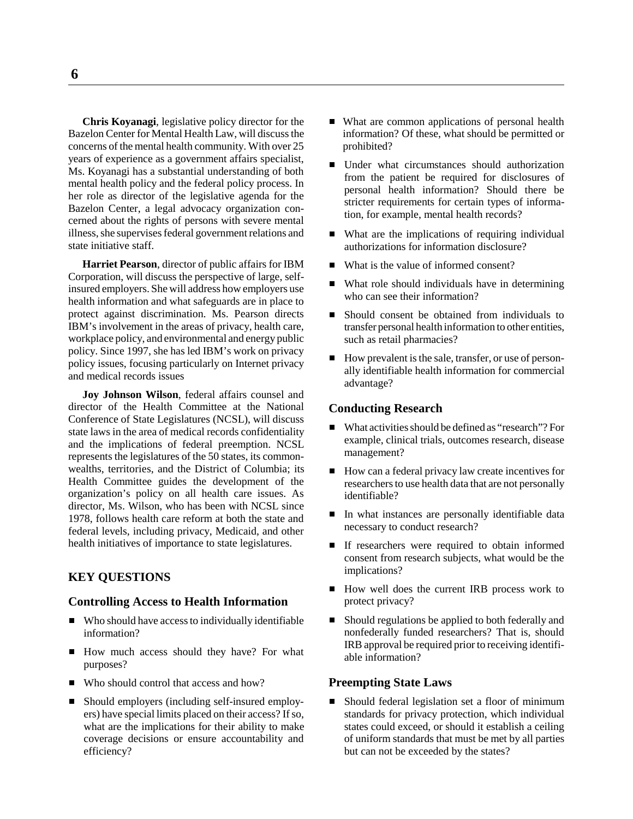**Chris Koyanagi**, legislative policy director for the Bazelon Center for Mental Health Law, will discuss the concerns of the mental health community. With over 25 years of experience as a government affairs specialist, Ms. Koyanagi has a substantial understanding of both mental health policy and the federal policy process. In her role as director of the legislative agenda for the Bazelon Center, a legal advocacy organization concerned about the rights of persons with severe mental illness, she supervises federal government relations and state initiative staff.

**Harriet Pearson**, director of public affairs for IBM Corporation, will discuss the perspective of large, selfinsured employers. She will address how employers use health information and what safeguards are in place to protect against discrimination. Ms. Pearson directs IBM's involvement in the areas of privacy, health care, workplace policy, and environmental and energy public policy. Since 1997, she has led IBM's work on privacy policy issues, focusing particularly on Internet privacy and medical records issues

**Joy Johnson Wilson**, federal affairs counsel and director of the Health Committee at the National Conference of State Legislatures (NCSL), will discuss state laws in the area of medical records confidentiality and the implications of federal preemption. NCSL represents the legislatures of the 50 states, its commonwealths, territories, and the District of Columbia; its Health Committee guides the development of the organization's policy on all health care issues. As director, Ms. Wilson, who has been with NCSL since 1978, follows health care reform at both the state and federal levels, including privacy, Medicaid, and other health initiatives of importance to state legislatures.

#### **KEY QUESTIONS**

#### **Controlling Access to Health Information**

- Who should have access to individually identifiable information?
- How much access should they have? For what purposes?
- Who should control that access and how?
- Should employers (including self-insured employers) have special limits placed on their access? If so, what are the implications for their ability to make coverage decisions or ensure accountability and efficiency?
- What are common applications of personal health information? Of these, what should be permitted or prohibited?
- Under what circumstances should authorization from the patient be required for disclosures of personal health information? Should there be stricter requirements for certain types of information, for example, mental health records?
- What are the implications of requiring individual authorizations for information disclosure?
- What is the value of informed consent?
- $\blacksquare$  What role should individuals have in determining who can see their information?
- Should consent be obtained from individuals to transfer personal health information to other entities, such as retail pharmacies?
- $\blacksquare$  How prevalent is the sale, transfer, or use of personally identifiable health information for commercial advantage?

#### **Conducting Research**

- What activities should be defined as "research"? For example, clinical trials, outcomes research, disease management?
- How can a federal privacy law create incentives for researchers to use health data that are not personally identifiable?
- In what instances are personally identifiable data necessary to conduct research?
- **If researchers were required to obtain informed** consent from research subjects, what would be the implications?
- How well does the current IRB process work to protect privacy?
- $\blacksquare$  Should regulations be applied to both federally and nonfederally funded researchers? That is, should IRB approval be required prior to receiving identifiable information?

#### **Preempting State Laws**

 $\blacksquare$  Should federal legislation set a floor of minimum standards for privacy protection, which individual states could exceed, or should it establish a ceiling of uniform standards that must be met by all parties but can not be exceeded by the states?